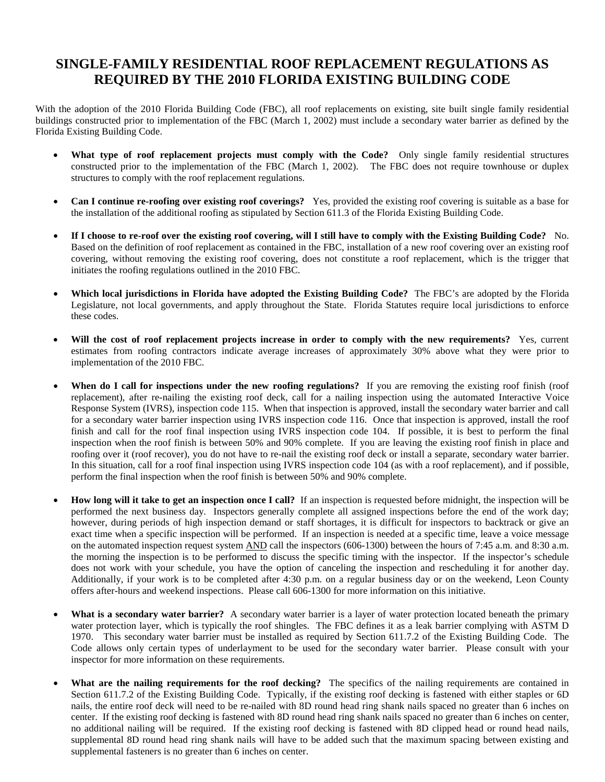## **SINGLE-FAMILY RESIDENTIAL ROOF REPLACEMENT REGULATIONS AS REQUIRED BY THE 2010 FLORIDA EXISTING BUILDING CODE**

With the adoption of the 2010 Florida Building Code (FBC), all roof replacements on existing, site built single family residential buildings constructed prior to implementation of the FBC (March 1, 2002) must include a secondary water barrier as defined by the Florida Existing Building Code.

- **What type of roof replacement projects must comply with the Code?** Only single family residential structures constructed prior to the implementation of the FBC (March 1, 2002). The FBC does not require townhouse or duplex structures to comply with the roof replacement regulations.
- **Can I continue re-roofing over existing roof coverings?** Yes, provided the existing roof covering is suitable as a base for the installation of the additional roofing as stipulated by Section 611.3 of the Florida Existing Building Code.
- **If I choose to re-roof over the existing roof covering, will I still have to comply with the Existing Building Code?** No. Based on the definition of roof replacement as contained in the FBC, installation of a new roof covering over an existing roof covering, without removing the existing roof covering, does not constitute a roof replacement, which is the trigger that initiates the roofing regulations outlined in the 2010 FBC.
- **Which local jurisdictions in Florida have adopted the Existing Building Code?** The FBC's are adopted by the Florida Legislature, not local governments, and apply throughout the State. Florida Statutes require local jurisdictions to enforce these codes.
- **Will the cost of roof replacement projects increase in order to comply with the new requirements?** Yes, current estimates from roofing contractors indicate average increases of approximately 30% above what they were prior to implementation of the 2010 FBC.
- **When do I call for inspections under the new roofing regulations?** If you are removing the existing roof finish (roof replacement), after re-nailing the existing roof deck, call for a nailing inspection using the automated Interactive Voice Response System (IVRS), inspection code 115. When that inspection is approved, install the secondary water barrier and call for a secondary water barrier inspection using IVRS inspection code 116. Once that inspection is approved, install the roof finish and call for the roof final inspection using IVRS inspection code 104. If possible, it is best to perform the final inspection when the roof finish is between 50% and 90% complete. If you are leaving the existing roof finish in place and roofing over it (roof recover), you do not have to re-nail the existing roof deck or install a separate, secondary water barrier. In this situation, call for a roof final inspection using IVRS inspection code 104 (as with a roof replacement), and if possible, perform the final inspection when the roof finish is between 50% and 90% complete.
- **How long will it take to get an inspection once I call?** If an inspection is requested before midnight, the inspection will be performed the next business day. Inspectors generally complete all assigned inspections before the end of the work day; however, during periods of high inspection demand or staff shortages, it is difficult for inspectors to backtrack or give an exact time when a specific inspection will be performed. If an inspection is needed at a specific time, leave a voice message on the automated inspection request system AND call the inspectors (606-1300) between the hours of 7:45 a.m. and 8:30 a.m. the morning the inspection is to be performed to discuss the specific timing with the inspector. If the inspector's schedule does not work with your schedule, you have the option of canceling the inspection and rescheduling it for another day. Additionally, if your work is to be completed after 4:30 p.m. on a regular business day or on the weekend, Leon County offers after-hours and weekend inspections. Please call 606-1300 for more information on this initiative.
- What is a secondary water barrier? A secondary water barrier is a layer of water protection located beneath the primary water protection layer, which is typically the roof shingles. The FBC defines it as a leak barrier complying with ASTM D 1970. This secondary water barrier must be installed as required by Section 611.7.2 of the Existing Building Code. The Code allows only certain types of underlayment to be used for the secondary water barrier. Please consult with your inspector for more information on these requirements.
- **What are the nailing requirements for the roof decking?** The specifics of the nailing requirements are contained in Section 611.7.2 of the Existing Building Code. Typically, if the existing roof decking is fastened with either staples or 6D nails, the entire roof deck will need to be re-nailed with 8D round head ring shank nails spaced no greater than 6 inches on center. If the existing roof decking is fastened with 8D round head ring shank nails spaced no greater than 6 inches on center, no additional nailing will be required. If the existing roof decking is fastened with 8D clipped head or round head nails, supplemental 8D round head ring shank nails will have to be added such that the maximum spacing between existing and supplemental fasteners is no greater than 6 inches on center.